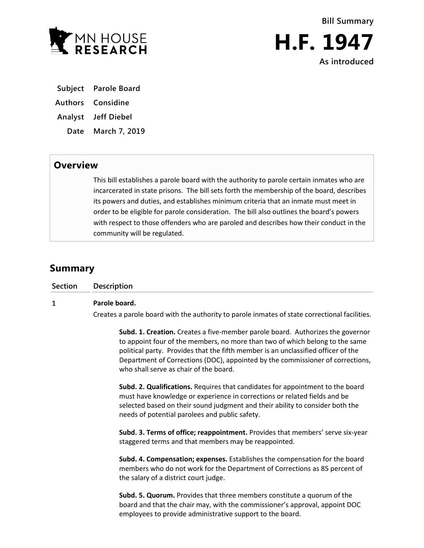

**Bill Summary H.F. 1947**

**As introduced**

**Subject Parole Board**

**Authors Considine**

**Analyst Jeff Diebel**

**Date March 7, 2019**

## **Overview**

This bill establishes a parole board with the authority to parole certain inmates who are incarcerated in state prisons. The bill sets forth the membership of the board, describes its powers and duties, and establishes minimum criteria that an inmate must meet in order to be eligible for parole consideration. The bill also outlines the board's powers with respect to those offenders who are paroled and describes how their conduct in the community will be regulated.

# **Summary**

| <b>Section</b> | <b>Description</b>                                                                                                                                                                                                                                                                                                                                                              |
|----------------|---------------------------------------------------------------------------------------------------------------------------------------------------------------------------------------------------------------------------------------------------------------------------------------------------------------------------------------------------------------------------------|
| 1              | Parole board.                                                                                                                                                                                                                                                                                                                                                                   |
|                | Creates a parole board with the authority to parole inmates of state correctional facilities.                                                                                                                                                                                                                                                                                   |
|                | Subd. 1. Creation. Creates a five-member parole board. Authorizes the governor<br>to appoint four of the members, no more than two of which belong to the same<br>political party. Provides that the fifth member is an unclassified officer of the<br>Department of Corrections (DOC), appointed by the commissioner of corrections,<br>who shall serve as chair of the board. |
|                | Subd. 2. Qualifications. Requires that candidates for appointment to the board<br>must have knowledge or experience in corrections or related fields and be<br>selected based on their sound judgment and their ability to consider both the<br>needs of potential parolees and public safety.                                                                                  |
|                | Subd. 3. Terms of office; reappointment. Provides that members' serve six-year<br>staggered terms and that members may be reappointed.                                                                                                                                                                                                                                          |
|                | Subd. 4. Compensation; expenses. Establishes the compensation for the board<br>members who do not work for the Department of Corrections as 85 percent of<br>the salary of a district court judge.                                                                                                                                                                              |
|                | Subd. 5. Quorum. Provides that three members constitute a quorum of the<br>board and that the chair may, with the commissioner's approval, appoint DOC<br>employees to provide administrative support to the board.                                                                                                                                                             |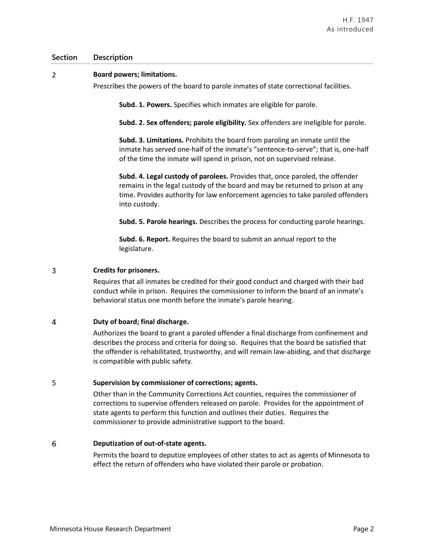### **Section Description**

#### $\overline{2}$ **Board powers; limitations.**

Prescribes the powers of the board to parole inmates of state correctional facilities.

**Subd. 1. Powers.** Specifies which inmates are eligible for parole.

**Subd. 2. Sex offenders; parole eligibility.** Sex offenders are ineligible for parole.

**Subd. 3. Limitations.** Prohibits the board from paroling an inmate until the inmate has served one-half of the inmate's "sentence-to-serve"; that is, one-half of the time the inmate will spend in prison, not on supervised release.

**Subd. 4. Legal custody of parolees.** Provides that, once paroled, the offender remains in the legal custody of the board and may be returned to prison at any time. Provides authority for law enforcement agencies to take paroled offenders into custody.

**Subd. 5. Parole hearings.** Describes the process for conducting parole hearings.

**Subd. 6. Report.** Requires the board to submit an annual report to the legislature.

#### $\overline{\mathbf{3}}$ **Credits for prisoners.**

Requires that all inmates be credited for their good conduct and charged with their bad conduct while in prison. Requires the commissioner to inform the board of an inmate's behavioral status one month before the inmate's parole hearing.

#### 4 **Duty of board; final discharge.**

Authorizes the board to grant a paroled offender a final discharge from confinement and describes the process and criteria for doing so. Requires that the board be satisfied that the offender is rehabilitated, trustworthy, and will remain law-abiding, and that discharge is compatible with public safety.

#### 5 **Supervision by commissioner of corrections; agents.**

Other than in the Community Corrections Act counties, requires the commissioner of corrections to supervise offenders released on parole. Provides for the appointment of state agents to perform this function and outlines their duties. Requires the commissioner to provide administrative support to the board.

#### 6 **Deputization of out-of-state agents.**

Permits the board to deputize employees of other states to act as agents of Minnesota to effect the return of offenders who have violated their parole or probation.